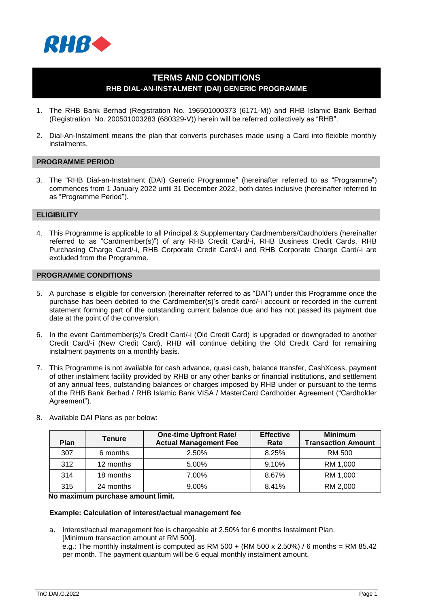

# **TERMS AND CONDITIONS RHB DIAL-AN-INSTALMENT (DAI) GENERIC PROGRAMME**

- 1. The RHB Bank Berhad (Registration No. 196501000373 (6171-M)) and RHB Islamic Bank Berhad (Registration No. 200501003283 (680329-V)) herein will be referred collectively as "RHB".
- 2. Dial-An-Instalment means the plan that converts purchases made using a Card into flexible monthly instalments.

## **PROGRAMME PERIOD**

3. The "RHB Dial-an-Instalment (DAI) Generic Programme" (hereinafter referred to as "Programme") commences from 1 January 2022 until 31 December 2022, both dates inclusive (hereinafter referred to as "Programme Period").

#### **ELIGIBILITY**

4. This Programme is applicable to all Principal & Supplementary Cardmembers/Cardholders (hereinafter referred to as "Cardmember(s)") of any RHB Credit Card/-i, RHB Business Credit Cards, RHB Purchasing Charge Card/-i, RHB Corporate Credit Card/-i and RHB Corporate Charge Card/-i are excluded from the Programme.

#### **PROGRAMME CONDITIONS**

- 5. A purchase is eligible for conversion (hereinafter referred to as "DAI") under this Programme once the purchase has been debited to the Cardmember(s)'s credit card/-i account or recorded in the current statement forming part of the outstanding current balance due and has not passed its payment due date at the point of the conversion.
- 6. In the event Cardmember(s)'s Credit Card/-i (Old Credit Card) is upgraded or downgraded to another Credit Card/-i (New Credit Card), RHB will continue debiting the Old Credit Card for remaining instalment payments on a monthly basis.
- 7. This Programme is not available for cash advance, quasi cash, balance transfer, CashXcess, payment of other instalment facility provided by RHB or any other banks or financial institutions, and settlement of any annual fees, outstanding balances or charges imposed by RHB under or pursuant to the terms of the RHB Bank Berhad / RHB Islamic Bank VISA / MasterCard Cardholder Agreement ("Cardholder Agreement").

| <b>Plan</b> | <b>Tenure</b> | <b>One-time Upfront Rate/</b><br><b>Actual Management Fee</b> | <b>Effective</b><br>Rate | <b>Minimum</b><br><b>Transaction Amount</b> |
|-------------|---------------|---------------------------------------------------------------|--------------------------|---------------------------------------------|
| 307         | 6 months      | 2.50%                                                         | 8.25%                    | RM 500                                      |
| 312         | 12 months     | 5.00%                                                         | 9.10%                    | RM 1,000                                    |
| 314         | 18 months     | 7.00%                                                         | 8.67%                    | RM 1,000                                    |
| 315         | 24 months     | 9.00%                                                         | 8.41%                    | RM 2,000                                    |

8. Available DAI Plans as per below:

#### **No maximum purchase amount limit.**

#### **Example: Calculation of interest/actual management fee**

a. Interest/actual management fee is chargeable at 2.50% for 6 months Instalment Plan. [Minimum transaction amount at RM 500]. e.g.: The monthly instalment is computed as RM  $500 + (RM 500 \times 2.50%)$  / 6 months = RM 85.42 per month. The payment quantum will be 6 equal monthly instalment amount.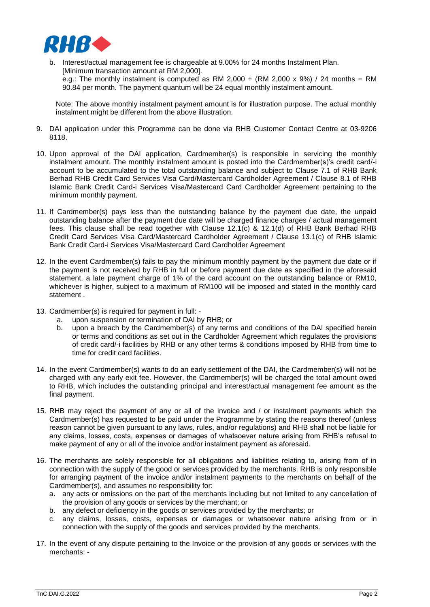

b. Interest/actual management fee is chargeable at 9.00% for 24 months Instalment Plan. [Minimum transaction amount at RM 2,000]. e.g.: The monthly instalment is computed as RM 2,000 + (RM 2,000 x 9%) / 24 months = RM 90.84 per month. The payment quantum will be 24 equal monthly instalment amount.

Note: The above monthly instalment payment amount is for illustration purpose. The actual monthly instalment might be different from the above illustration.

- 9. DAI application under this Programme can be done via RHB Customer Contact Centre at 03-9206 8118.
- 10. Upon approval of the DAI application, Cardmember(s) is responsible in servicing the monthly instalment amount. The monthly instalment amount is posted into the Cardmember(s)'s credit card/-i account to be accumulated to the total outstanding balance and subject to Clause 7.1 of RHB Bank Berhad RHB Credit Card Services Visa Card/Mastercard Cardholder Agreement / Clause 8.1 of RHB Islamic Bank Credit Card-i Services Visa/Mastercard Card Cardholder Agreement pertaining to the minimum monthly payment.
- 11. If Cardmember(s) pays less than the outstanding balance by the payment due date, the unpaid outstanding balance after the payment due date will be charged finance charges / actual management fees. This clause shall be read together with Clause 12.1(c) & 12.1(d) of RHB Bank Berhad RHB Credit Card Services Visa Card/Mastercard Cardholder Agreement / Clause 13.1(c) of RHB Islamic Bank Credit Card-i Services Visa/Mastercard Card Cardholder Agreement
- 12. In the event Cardmember(s) fails to pay the minimum monthly payment by the payment due date or if the payment is not received by RHB in full or before payment due date as specified in the aforesaid statement, a late payment charge of 1% of the card account on the outstanding balance or RM10, whichever is higher, subject to a maximum of RM100 will be imposed and stated in the monthly card statement .
- 13. Cardmember(s) is required for payment in full:
	- a. upon suspension or termination of DAI by RHB; or
	- b. upon a breach by the Cardmember(s) of any terms and conditions of the DAI specified herein or terms and conditions as set out in the Cardholder Agreement which regulates the provisions of credit card/-i facilities by RHB or any other terms & conditions imposed by RHB from time to time for credit card facilities.
- 14. In the event Cardmember(s) wants to do an early settlement of the DAI, the Cardmember(s) will not be charged with any early exit fee. However, the Cardmember(s) will be charged the total amount owed to RHB, which includes the outstanding principal and interest/actual management fee amount as the final payment.
- 15. RHB may reject the payment of any or all of the invoice and / or instalment payments which the Cardmember(s) has requested to be paid under the Programme by stating the reasons thereof (unless reason cannot be given pursuant to any laws, rules, and/or regulations) and RHB shall not be liable for any claims, losses, costs, expenses or damages of whatsoever nature arising from RHB's refusal to make payment of any or all of the invoice and/or instalment payment as aforesaid.
- 16. The merchants are solely responsible for all obligations and liabilities relating to, arising from of in connection with the supply of the good or services provided by the merchants. RHB is only responsible for arranging payment of the invoice and/or instalment payments to the merchants on behalf of the Cardmember(s), and assumes no responsibility for:
	- a. any acts or omissions on the part of the merchants including but not limited to any cancellation of the provision of any goods or services by the merchant; or
	- b. any defect or deficiency in the goods or services provided by the merchants; or
	- c. any claims, losses, costs, expenses or damages or whatsoever nature arising from or in connection with the supply of the goods and services provided by the merchants.
- 17. In the event of any dispute pertaining to the Invoice or the provision of any goods or services with the merchants: -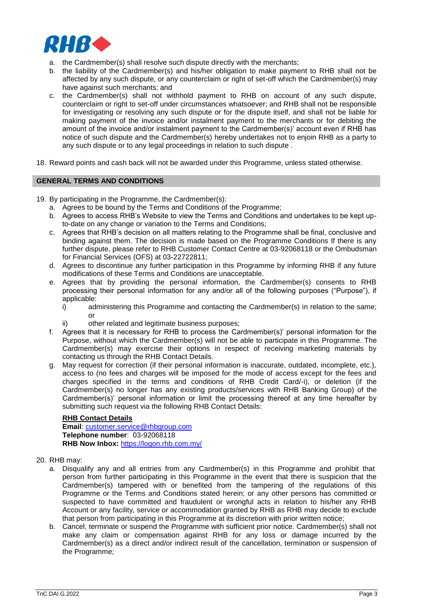

- a. the Cardmember(s) shall resolve such dispute directly with the merchants;
- b. the liability of the Cardmember(s) and his/her obligation to make payment to RHB shall not be affected by any such dispute, or any counterclaim or right of set-off which the Cardmember(s) may have against such merchants; and
- c. the Cardmember(s) shall not withhold payment to RHB on account of any such dispute, counterclaim or right to set-off under circumstances whatsoever; and RHB shall not be responsible for investigating or resolving any such dispute or for the dispute itself, and shall not be liable for making payment of the invoice and/or instalment payment to the merchants or for debiting the amount of the invoice and/or instalment payment to the Cardmember(s)' account even if RHB has notice of such dispute and the Cardmember(s) hereby undertakes not to enjoin RHB as a party to any such dispute or to any legal proceedings in relation to such dispute .
- 18. Reward points and cash back will not be awarded under this Programme, unless stated otherwise.

#### **GENERAL TERMS AND CONDITIONS**

- 19. By participating in the Programme, the Cardmember(s):
	- a. Agrees to be bound by the Terms and Conditions of the Programme;
	- b. Agrees to access RHB's Website to view the Terms and Conditions and undertakes to be kept upto-date on any change or variation to the Terms and Conditions;
	- c. Agrees that RHB's decision on all matters relating to the Programme shall be final, conclusive and binding against them. The decision is made based on the Programme Conditions If there is any further dispute, please refer to RHB Customer Contact Centre at 03-92068118 or the Ombudsman for Financial Services (OFS) at 03-22722811;
	- d. Agrees to discontinue any further participation in this Programme by informing RHB if any future modifications of these Terms and Conditions are unacceptable.
	- e. Agrees that by providing the personal information, the Cardmember(s) consents to RHB processing their personal information for any and/or all of the following purposes ("Purpose"), if applicable:
		- i) administering this Programme and contacting the Cardmember(s) in relation to the same; or
		- other related and legitimate business purposes;
	- f. Agrees that it is necessary for RHB to process the Cardmember(s)' personal information for the Purpose, without which the Cardmember(s) will not be able to participate in this Programme. The Cardmember(s) may exercise their options in respect of receiving marketing materials by contacting us through the RHB Contact Details.
	- g. May request for correction (if their personal information is inaccurate, outdated, incomplete, etc.), access to (no fees and charges will be imposed for the mode of access except for the fees and charges specified in the terms and conditions of RHB Credit Card/-i), or deletion (if the Cardmember(s) no longer has any existing products/services with RHB Banking Group) of the Cardmember(s)' personal information or limit the processing thereof at any time hereafter by submitting such request via the following RHB Contact Details:

**RHB Contact Details Email**: [customer.service@rhbgroup.com](mailto:customer.service@rhbgroup.com) **Telephone number**: 03-92068118 **RHB Now Inbox:** <https://logon.rhb.com.my/>

- 20. RHB may:
	- a. Disqualify any and all entries from any Cardmember(s) in this Programme and prohibit that person from further participating in this Programme in the event that there is suspicion that the Cardmember(s) tampered with or benefited from the tampering of the regulations of this Programme or the Terms and Conditions stated herein; or any other persons has committed or suspected to have committed and fraudulent or wrongful acts in relation to his/her any RHB Account or any facility, service or accommodation granted by RHB as RHB may decide to exclude that person from participating in this Programme at its discretion with prior written notice;
	- b. Cancel, terminate or suspend the Programme with sufficient prior notice. Cardmember(s) shall not make any claim or compensation against RHB for any loss or damage incurred by the Cardmember(s) as a direct and/or indirect result of the cancellation, termination or suspension of the Programme;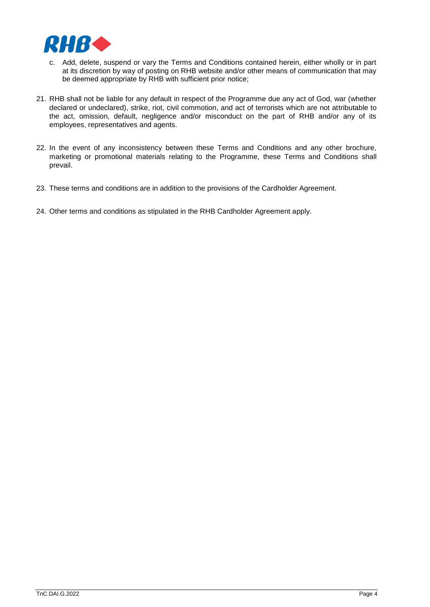

- c. Add, delete, suspend or vary the Terms and Conditions contained herein, either wholly or in part at its discretion by way of posting on RHB website and/or other means of communication that may be deemed appropriate by RHB with sufficient prior notice;
- 21. RHB shall not be liable for any default in respect of the Programme due any act of God, war (whether declared or undeclared), strike, riot, civil commotion, and act of terrorists which are not attributable to the act, omission, default, negligence and/or misconduct on the part of RHB and/or any of its employees, representatives and agents.
- 22. In the event of any inconsistency between these Terms and Conditions and any other brochure, marketing or promotional materials relating to the Programme, these Terms and Conditions shall prevail.
- 23. These terms and conditions are in addition to the provisions of the Cardholder Agreement.
- 24. Other terms and conditions as stipulated in the RHB Cardholder Agreement apply.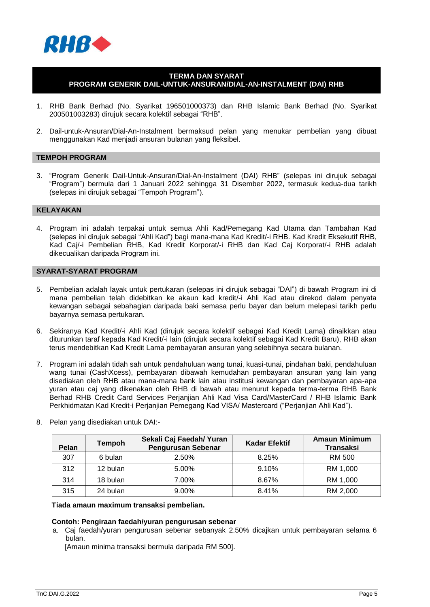

# **TERMA DAN SYARAT PROGRAM GENERIK DAIL-UNTUK-ANSURAN/DIAL-AN-INSTALMENT (DAI) RHB**

- 1. RHB Bank Berhad (No. Syarikat 196501000373) dan RHB Islamic Bank Berhad (No. Syarikat 200501003283) dirujuk secara kolektif sebagai "RHB".
- 2. Dail-untuk-Ansuran/Dial-An-Instalment bermaksud pelan yang menukar pembelian yang dibuat menggunakan Kad menjadi ansuran bulanan yang fleksibel.

#### **TEMPOH PROGRAM**

3. "Program Generik Dail-Untuk-Ansuran/Dial-An-Instalment (DAI) RHB" (selepas ini dirujuk sebagai "Program") bermula dari 1 Januari 2022 sehingga 31 Disember 2022, termasuk kedua-dua tarikh (selepas ini dirujuk sebagai "Tempoh Program").

#### **KELAYAKAN**

4. Program ini adalah terpakai untuk semua Ahli Kad/Pemegang Kad Utama dan Tambahan Kad (selepas ini dirujuk sebagai "Ahli Kad") bagi mana-mana Kad Kredit/-i RHB. Kad Kredit Eksekutif RHB, Kad Caj/-i Pembelian RHB, Kad Kredit Korporat/-i RHB dan Kad Caj Korporat/-i RHB adalah dikecualikan daripada Program ini.

### **SYARAT-SYARAT PROGRAM**

- 5. Pembelian adalah layak untuk pertukaran (selepas ini dirujuk sebagai "DAI") di bawah Program ini di mana pembelian telah didebitkan ke akaun kad kredit/-i Ahli Kad atau direkod dalam penyata kewangan sebagai sebahagian daripada baki semasa perlu bayar dan belum melepasi tarikh perlu bayarnya semasa pertukaran.
- 6. Sekiranya Kad Kredit/-i Ahli Kad (dirujuk secara kolektif sebagai Kad Kredit Lama) dinaikkan atau diturunkan taraf kepada Kad Kredit/-i lain (dirujuk secara kolektif sebagai Kad Kredit Baru), RHB akan terus mendebitkan Kad Kredit Lama pembayaran ansuran yang selebihnya secara bulanan.
- 7. Program ini adalah tidah sah untuk pendahuluan wang tunai, kuasi-tunai, pindahan baki, pendahuluan wang tunai (CashXcess), pembayaran dibawah kemudahan pembayaran ansuran yang lain yang disediakan oleh RHB atau mana-mana bank lain atau institusi kewangan dan pembayaran apa-apa yuran atau caj yang dikenakan oleh RHB di bawah atau menurut kepada terma-terma RHB Bank Berhad RHB Credit Card Services Perjanjian Ahli Kad Visa Card/MasterCard / RHB Islamic Bank Perkhidmatan Kad Kredit-i Perjanjian Pemegang Kad VISA/ Mastercard ("Perjanjian Ahli Kad").

| Pelan | Tempoh   | Sekali Caj Faedah/ Yuran<br><b>Pengurusan Sebenar</b> | <b>Kadar Efektif</b> | <b>Amaun Minimum</b><br>Transaksi |
|-------|----------|-------------------------------------------------------|----------------------|-----------------------------------|
| 307   | 6 bulan  | 2.50%                                                 | 8.25%                | RM 500                            |
| 312   | 12 bulan | 5.00%                                                 | 9.10%                | RM 1,000                          |
| 314   | 18 bulan | 7.00%                                                 | 8.67%                | RM 1,000                          |
| 315   | 24 bulan | 9.00%                                                 | 8.41%                | RM 2,000                          |

8. Pelan yang disediakan untuk DAI:-

#### **Tiada amaun maximum transaksi pembelian.**

#### **Contoh: Pengiraan faedah/yuran pengurusan sebenar**

a.Caj faedah/yuran pengurusan sebenar sebanyak 2.50% dicajkan untuk pembayaran selama 6 bulan.

[Amaun minima transaksi bermula daripada RM 500].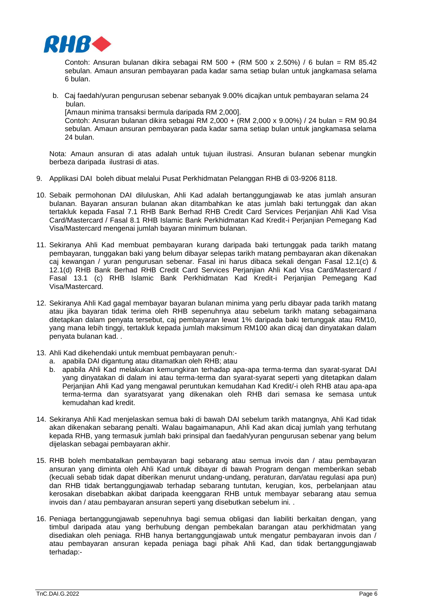

Contoh: Ansuran bulanan dikira sebagai RM 500 + (RM 500 x 2.50%) / 6 bulan = RM 85.42 sebulan. Amaun ansuran pembayaran pada kadar sama setiap bulan untuk jangkamasa selama 6 bulan.

b. Caj faedah/yuran pengurusan sebenar sebanyak 9.00% dicajkan untuk pembayaran selama 24 bulan.

[Amaun minima transaksi bermula daripada RM 2,000].

Contoh: Ansuran bulanan dikira sebagai RM 2,000 + (RM 2,000 x 9.00%) / 24 bulan = RM 90.84 sebulan. Amaun ansuran pembayaran pada kadar sama setiap bulan untuk jangkamasa selama 24 bulan.

Nota: Amaun ansuran di atas adalah untuk tujuan ilustrasi. Ansuran bulanan sebenar mungkin berbeza daripada ilustrasi di atas.

- 9. Applikasi DAI boleh dibuat melalui Pusat Perkhidmatan Pelanggan RHB di 03-9206 8118.
- 10. Sebaik permohonan DAI diluluskan, Ahli Kad adalah bertanggungjawab ke atas jumlah ansuran bulanan. Bayaran ansuran bulanan akan ditambahkan ke atas jumlah baki tertunggak dan akan tertakluk kepada Fasal 7.1 RHB Bank Berhad RHB Credit Card Services Perjanjian Ahli Kad Visa Card/Mastercard / Fasal 8.1 RHB Islamic Bank Perkhidmatan Kad Kredit-i Perjanjian Pemegang Kad Visa/Mastercard mengenai jumlah bayaran minimum bulanan.
- 11. Sekiranya Ahli Kad membuat pembayaran kurang daripada baki tertunggak pada tarikh matang pembayaran, tunggakan baki yang belum dibayar selepas tarikh matang pembayaran akan dikenakan caj kewangan / yuran pengurusan sebenar. Fasal ini harus dibaca sekali dengan Fasal 12.1(c) & 12.1(d) RHB Bank Berhad RHB Credit Card Services Perjanjian Ahli Kad Visa Card/Mastercard / Fasal 13.1 (c) RHB Islamic Bank Perkhidmatan Kad Kredit-i Perjanjian Pemegang Kad Visa/Mastercard.
- 12. Sekiranya Ahli Kad gagal membayar bayaran bulanan minima yang perlu dibayar pada tarikh matang atau jika bayaran tidak terima oleh RHB sepenuhnya atau sebelum tarikh matang sebagaimana ditetapkan dalam penyata tersebut, caj pembayaran lewat 1% daripada baki tertunggak atau RM10, yang mana lebih tinggi, tertakluk kepada jumlah maksimum RM100 akan dicaj dan dinyatakan dalam penyata bulanan kad. .
- 13. Ahli Kad dikehendaki untuk membuat pembayaran penuh:
	- a. apabila DAI digantung atau ditamatkan oleh RHB; atau
	- b. apabila Ahli Kad melakukan kemungkiran terhadap apa-apa terma-terma dan syarat-syarat DAI yang dinyatakan di dalam ini atau terma-terma dan syarat-syarat seperti yang ditetapkan dalam Perjanjian Ahli Kad yang mengawal peruntukan kemudahan Kad Kredit/-i oleh RHB atau apa-apa terma-terma dan syaratsyarat yang dikenakan oleh RHB dari semasa ke semasa untuk kemudahan kad kredit.
- 14. Sekiranya Ahli Kad menjelaskan semua baki di bawah DAI sebelum tarikh matangnya, Ahli Kad tidak akan dikenakan sebarang penalti. Walau bagaimanapun, Ahli Kad akan dicaj jumlah yang terhutang kepada RHB, yang termasuk jumlah baki prinsipal dan faedah/yuran pengurusan sebenar yang belum dijelaskan sebagai pembayaran akhir.
- 15. RHB boleh membatalkan pembayaran bagi sebarang atau semua invois dan / atau pembayaran ansuran yang diminta oleh Ahli Kad untuk dibayar di bawah Program dengan memberikan sebab (kecuali sebab tidak dapat diberikan menurut undang-undang, peraturan, dan/atau regulasi apa pun) dan RHB tidak bertanggungjawab terhadap sebarang tuntutan, kerugian, kos, perbelanjaan atau kerosakan disebabkan akibat daripada keenggaran RHB untuk membayar sebarang atau semua invois dan / atau pembayaran ansuran seperti yang disebutkan sebelum ini. .
- 16. Peniaga bertanggungjawab sepenuhnya bagi semua obligasi dan liabiliti berkaitan dengan, yang timbul daripada atau yang berhubung dengan pembekalan barangan atau perkhidmatan yang disediakan oleh peniaga. RHB hanya bertanggungjawab untuk mengatur pembayaran invois dan / atau pembayaran ansuran kepada peniaga bagi pihak Ahli Kad, dan tidak bertanggungjawab terhadap:-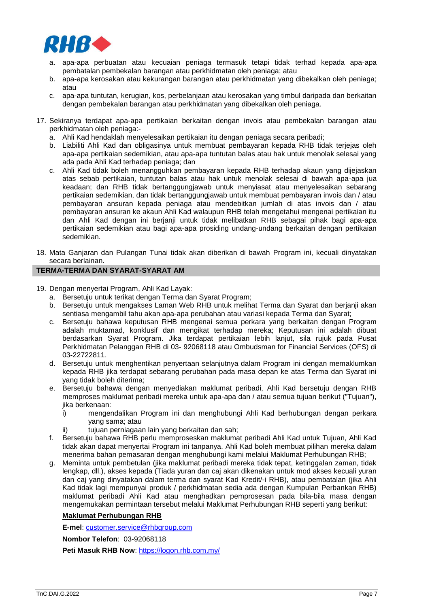

- a. apa-apa perbuatan atau kecuaian peniaga termasuk tetapi tidak terhad kepada apa-apa pembatalan pembekalan barangan atau perkhidmatan oleh peniaga; atau
- b. apa-apa kerosakan atau kekurangan barangan atau perkhidmatan yang dibekalkan oleh peniaga; atau
- c. apa-apa tuntutan, kerugian, kos, perbelanjaan atau kerosakan yang timbul daripada dan berkaitan dengan pembekalan barangan atau perkhidmatan yang dibekalkan oleh peniaga.
- 17. Sekiranya terdapat apa-apa pertikaian berkaitan dengan invois atau pembekalan barangan atau perkhidmatan oleh peniaga:
	- a. Ahli Kad hendaklah menyelesaikan pertikaian itu dengan peniaga secara peribadi;
	- b. Liabiliti Ahli Kad dan obligasinya untuk membuat pembayaran kepada RHB tidak terjejas oleh apa-apa pertikaian sedemikian, atau apa-apa tuntutan balas atau hak untuk menolak selesai yang ada pada Ahli Kad terhadap peniaga; dan
	- c. Ahli Kad tidak boleh menangguhkan pembayaran kepada RHB terhadap akaun yang dijejaskan atas sebab pertikaian, tuntutan balas atau hak untuk menolak selesai di bawah apa-apa jua keadaan; dan RHB tidak bertanggungjawab untuk menyiasat atau menyelesaikan sebarang pertikaian sedemikian, dan tidak bertanggungjawab untuk membuat pembayaran invois dan / atau pembayaran ansuran kepada peniaga atau mendebitkan jumlah di atas invois dan / atau pembayaran ansuran ke akaun Ahli Kad walaupun RHB telah mengetahui mengenai pertikaian itu dan Ahli Kad dengan ini berjanji untuk tidak melibatkan RHB sebagai pihak bagi apa-apa pertikaian sedemikian atau bagi apa-apa prosiding undang-undang berkaitan dengan pertikaian sedemikian.
- 18. Mata Ganjaran dan Pulangan Tunai tidak akan diberikan di bawah Program ini, kecuali dinyatakan secara berlainan.

# **TERMA-TERMA DAN SYARAT-SYARAT AM**

- 19. Dengan menyertai Program, Ahli Kad Layak:
	- a. Bersetuju untuk terikat dengan Terma dan Syarat Program;
	- b. Bersetuju untuk mengakses Laman Web RHB untuk melihat Terma dan Syarat dan berjanji akan sentiasa mengambil tahu akan apa-apa perubahan atau variasi kepada Terma dan Syarat;
	- c. Bersetuju bahawa keputusan RHB mengenai semua perkara yang berkaitan dengan Program adalah muktamad, konklusif dan mengikat terhadap mereka; Keputusan ini adalah dibuat berdasarkan Syarat Program. Jika terdapat pertikaian lebih lanjut, sila rujuk pada Pusat Perkhidmatan Pelanggan RHB di 03- 92068118 atau Ombudsman for Financial Services (OFS) di 03-22722811.
	- d. Bersetuju untuk menghentikan penyertaan selanjutnya dalam Program ini dengan memaklumkan kepada RHB jika terdapat sebarang perubahan pada masa depan ke atas Terma dan Syarat ini yang tidak boleh diterima;
	- e. Bersetuju bahawa dengan menyediakan maklumat peribadi, Ahli Kad bersetuju dengan RHB memproses maklumat peribadi mereka untuk apa-apa dan / atau semua tujuan berikut ("Tujuan"), jika berkenaan:
		- i) mengendalikan Program ini dan menghubungi Ahli Kad berhubungan dengan perkara yang sama; atau
		- ii) tujuan perniagaan lain yang berkaitan dan sah;
	- f. Bersetuju bahawa RHB perlu memproseskan maklumat peribadi Ahli Kad untuk Tujuan, Ahli Kad tidak akan dapat menyertai Program ini tanpanya. Ahli Kad boleh membuat pilihan mereka dalam menerima bahan pemasaran dengan menghubungi kami melalui Maklumat Perhubungan RHB;
	- g. Meminta untuk pembetulan (jika maklumat peribadi mereka tidak tepat, ketinggalan zaman, tidak lengkap, dll.), akses kepada (Tiada yuran dan caj akan dikenakan untuk mod akses kecuali yuran dan caj yang dinyatakan dalam terma dan syarat Kad Kredit/-i RHB), atau pembatalan (jika Ahli Kad tidak lagi mempunyai produk / perkhidmatan sedia ada dengan Kumpulan Perbankan RHB) maklumat peribadi Ahli Kad atau menghadkan pemprosesan pada bila-bila masa dengan mengemukakan permintaan tersebut melalui Maklumat Perhubungan RHB seperti yang berikut:

## **Maklumat Perhubungan RHB**

**E-mel**: [customer.service@rhbgroup.com](mailto:customer.service@rhbgroup.com)

**Nombor Telefon**: 03-92068118

**Peti Masuk RHB Now**:<https://logon.rhb.com.my/>